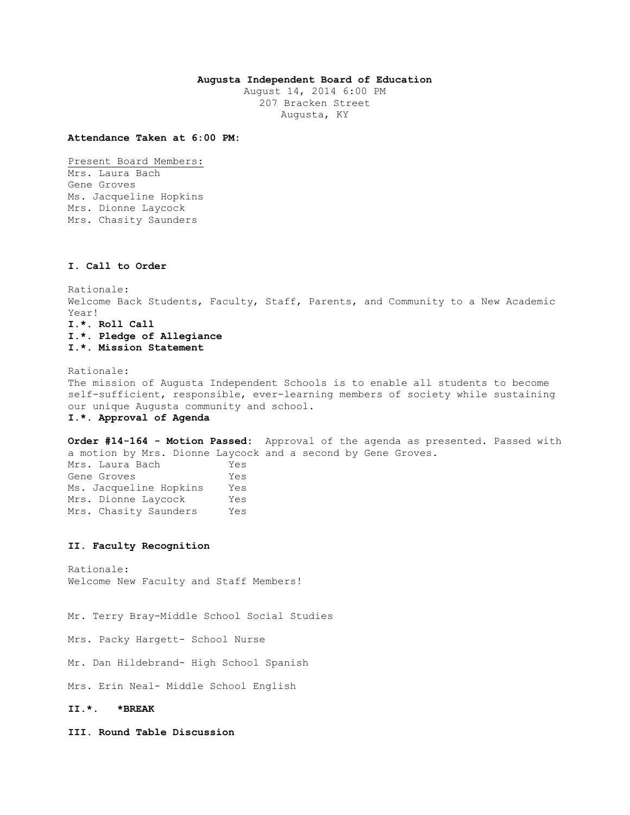# **Augusta Independent Board of Education**

August 14, 2014 6:00 PM 207 Bracken Street Augusta, KY

### **Attendance Taken at 6:00 PM:**

Present Board Members: Mrs. Laura Bach Gene Groves Ms. Jacqueline Hopkins Mrs. Dionne Laycock Mrs. Chasity Saunders

# **I. Call to Order**

Rationale: Welcome Back Students, Faculty, Staff, Parents, and Community to a New Academic Year! **I.\*. Roll Call I.\*. Pledge of Allegiance I.\*. Mission Statement** 

Rationale: The mission of Augusta Independent Schools is to enable all students to become self-sufficient, responsible, ever-learning members of society while sustaining our unique Augusta community and school. **I.\*. Approval of Agenda** 

**Order #14-164 - Motion Passed:** Approval of the agenda as presented. Passed with a motion by Mrs. Dionne Laycock and a second by Gene Groves. Mrs. Laura Bach Yes Gene Groves Yes Ms. Jacqueline Hopkins Yes Mrs. Dionne Laycock Yes Mrs. Chasity Saunders Yes

### **II. Faculty Recognition**

Rationale: Welcome New Faculty and Staff Members!

Mr. Terry Bray-Middle School Social Studies

Mrs. Packy Hargett- School Nurse

Mr. Dan Hildebrand- High School Spanish

Mrs. Erin Neal- Middle School English

## **II.\*. \*BREAK**

**III. Round Table Discussion**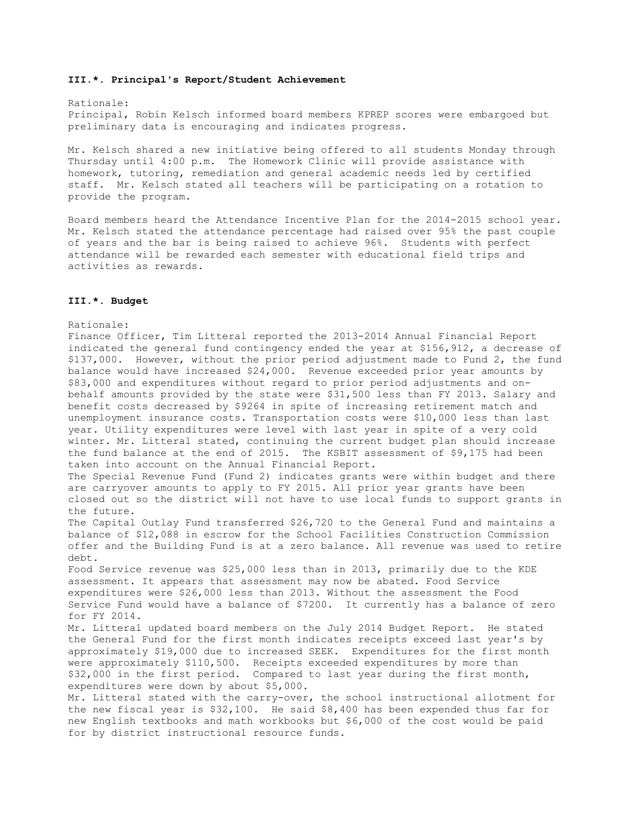### **III.\*. Principal's Report/Student Achievement**

### Rationale:

Principal, Robin Kelsch informed board members KPREP scores were embargoed but preliminary data is encouraging and indicates progress.

Mr. Kelsch shared a new initiative being offered to all students Monday through Thursday until 4:00 p.m. The Homework Clinic will provide assistance with homework, tutoring, remediation and general academic needs led by certified staff. Mr. Kelsch stated all teachers will be participating on a rotation to provide the program.

Board members heard the Attendance Incentive Plan for the 2014-2015 school year. Mr. Kelsch stated the attendance percentage had raised over 95% the past couple of years and the bar is being raised to achieve 96%. Students with perfect attendance will be rewarded each semester with educational field trips and activities as rewards.

## **III.\*. Budget**

#### Rationale:

Finance Officer, Tim Litteral reported the 2013-2014 Annual Financial Report indicated the general fund contingency ended the year at \$156,912, a decrease of \$137,000. However, without the prior period adjustment made to Fund 2, the fund balance would have increased \$24,000. Revenue exceeded prior year amounts by \$83,000 and expenditures without regard to prior period adjustments and onbehalf amounts provided by the state were \$31,500 less than FY 2013. Salary and benefit costs decreased by \$9264 in spite of increasing retirement match and unemployment insurance costs. Transportation costs were \$10,000 less than last year. Utility expenditures were level with last year in spite of a very cold winter. Mr. Litteral stated, continuing the current budget plan should increase the fund balance at the end of 2015. The KSBIT assessment of \$9,175 had been taken into account on the Annual Financial Report. The Special Revenue Fund (Fund 2) indicates grants were within budget and there are carryover amounts to apply to FY 2015. All prior year grants have been closed out so the district will not have to use local funds to support grants in the future.

The Capital Outlay Fund transferred \$26,720 to the General Fund and maintains a balance of \$12,088 in escrow for the School Facilities Construction Commission offer and the Building Fund is at a zero balance. All revenue was used to retire debt.

Food Service revenue was \$25,000 less than in 2013, primarily due to the KDE assessment. It appears that assessment may now be abated. Food Service expenditures were \$26,000 less than 2013. Without the assessment the Food Service Fund would have a balance of \$7200. It currently has a balance of zero for FY 2014.

Mr. Litteral updated board members on the July 2014 Budget Report. He stated the General Fund for the first month indicates receipts exceed last year's by approximately \$19,000 due to increased SEEK. Expenditures for the first month were approximately \$110,500. Receipts exceeded expenditures by more than \$32,000 in the first period. Compared to last year during the first month, expenditures were down by about \$5,000.

Mr. Litteral stated with the carry-over, the school instructional allotment for the new fiscal year is \$32,100. He said \$8,400 has been expended thus far for new English textbooks and math workbooks but \$6,000 of the cost would be paid for by district instructional resource funds.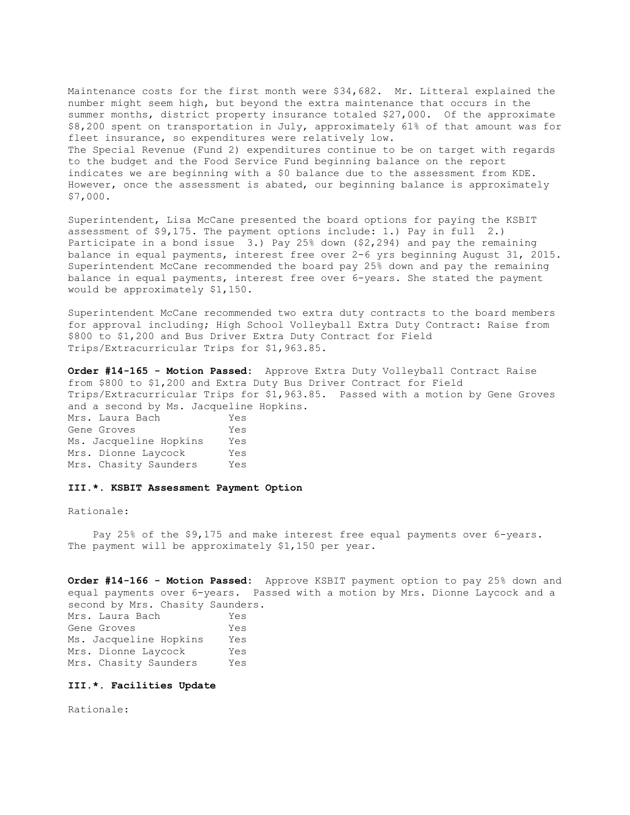Maintenance costs for the first month were \$34,682. Mr. Litteral explained the number might seem high, but beyond the extra maintenance that occurs in the summer months, district property insurance totaled \$27,000. Of the approximate \$8,200 spent on transportation in July, approximately 61% of that amount was for fleet insurance, so expenditures were relatively low. The Special Revenue (Fund 2) expenditures continue to be on target with regards to the budget and the Food Service Fund beginning balance on the report indicates we are beginning with a \$0 balance due to the assessment from KDE. However, once the assessment is abated, our beginning balance is approximately \$7,000.

Superintendent, Lisa McCane presented the board options for paying the KSBIT assessment of \$9,175. The payment options include: 1.) Pay in full 2.) Participate in a bond issue 3.) Pay 25% down (\$2,294) and pay the remaining balance in equal payments, interest free over 2-6 yrs beginning August 31, 2015. Superintendent McCane recommended the board pay 25% down and pay the remaining balance in equal payments, interest free over 6-years. She stated the payment would be approximately \$1,150.

Superintendent McCane recommended two extra duty contracts to the board members for approval including; High School Volleyball Extra Duty Contract: Raise from \$800 to \$1,200 and Bus Driver Extra Duty Contract for Field Trips/Extracurricular Trips for \$1,963.85.

**Order #14-165 - Motion Passed:** Approve Extra Duty Volleyball Contract Raise from \$800 to \$1,200 and Extra Duty Bus Driver Contract for Field Trips/Extracurricular Trips for \$1,963.85. Passed with a motion by Gene Groves and a second by Ms. Jacqueline Hopkins.

Mrs. Laura Bach Yes Gene Groves Yes Ms. Jacqueline Hopkins Yes Mrs. Dionne Laycock Yes Mrs. Chasity Saunders Yes

# **III.\*. KSBIT Assessment Payment Option**

Rationale:

 Pay 25% of the \$9,175 and make interest free equal payments over 6-years. The payment will be approximately \$1,150 per year.

**Order #14-166 - Motion Passed:** Approve KSBIT payment option to pay 25% down and equal payments over 6-years. Passed with a motion by Mrs. Dionne Laycock and a second by Mrs. Chasity Saunders. Mrs. Laura Bach Yes Gene Groves Yes Ms. Jacqueline Hopkins Yes Mrs. Dionne Laycock Yes

Mrs. Chasity Saunders Yes

#### **III.\*. Facilities Update**

Rationale: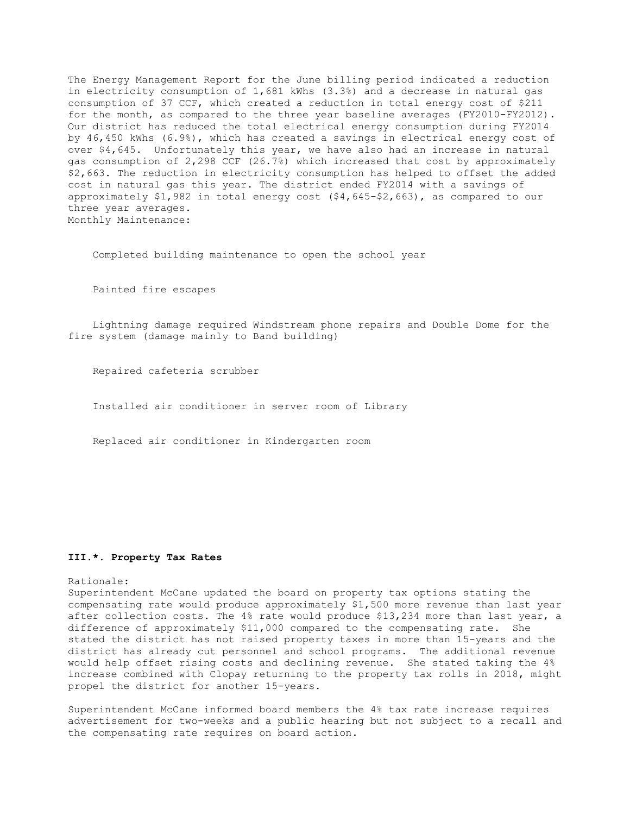The Energy Management Report for the June billing period indicated a reduction in electricity consumption of 1,681 kWhs (3.3%) and a decrease in natural gas consumption of 37 CCF, which created a reduction in total energy cost of \$211 for the month, as compared to the three year baseline averages (FY2010-FY2012). Our district has reduced the total electrical energy consumption during FY2014 by 46,450 kWhs (6.9%), which has created a savings in electrical energy cost of over \$4,645. Unfortunately this year, we have also had an increase in natural gas consumption of 2,298 CCF (26.7%) which increased that cost by approximately \$2,663. The reduction in electricity consumption has helped to offset the added cost in natural gas this year. The district ended FY2014 with a savings of approximately \$1,982 in total energy cost (\$4,645-\$2,663), as compared to our three year averages. Monthly Maintenance:

Completed building maintenance to open the school year

Painted fire escapes

 Lightning damage required Windstream phone repairs and Double Dome for the fire system (damage mainly to Band building)

Repaired cafeteria scrubber

Installed air conditioner in server room of Library

Replaced air conditioner in Kindergarten room

### **III.\*. Property Tax Rates**

#### Rationale:

Superintendent McCane updated the board on property tax options stating the compensating rate would produce approximately \$1,500 more revenue than last year after collection costs. The 4% rate would produce \$13,234 more than last year, a difference of approximately \$11,000 compared to the compensating rate. She stated the district has not raised property taxes in more than 15-years and the district has already cut personnel and school programs. The additional revenue would help offset rising costs and declining revenue. She stated taking the 4% increase combined with Clopay returning to the property tax rolls in 2018, might propel the district for another 15-years.

Superintendent McCane informed board members the 4% tax rate increase requires advertisement for two-weeks and a public hearing but not subject to a recall and the compensating rate requires on board action.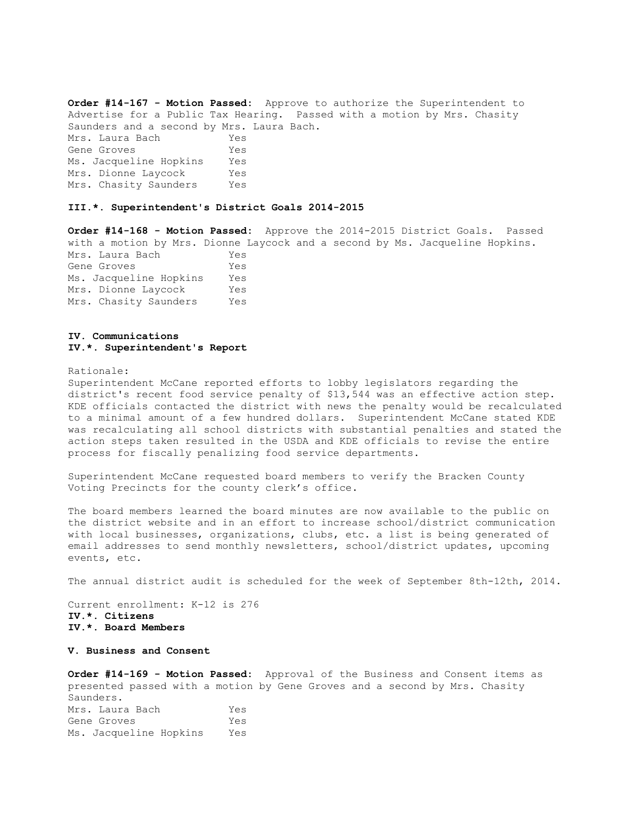**Order #14-167 - Motion Passed:** Approve to authorize the Superintendent to Advertise for a Public Tax Hearing. Passed with a motion by Mrs. Chasity Saunders and a second by Mrs. Laura Bach. Mrs. Laura Bach Yes Gene Groves Yes Ms. Jacqueline Hopkins Yes Mrs. Dionne Laycock Yes Mrs. Chasity Saunders Yes

### **III.\*. Superintendent's District Goals 2014-2015**

**Order #14-168 - Motion Passed:** Approve the 2014-2015 District Goals. Passed with a motion by Mrs. Dionne Laycock and a second by Ms. Jacqueline Hopkins. Mrs. Laura Bach Yes Gene Groves Yes Ms. Jacqueline Hopkins Yes Mrs. Dionne Laycock Yes Mrs. Chasity Saunders Yes

## **IV. Communications IV.\*. Superintendent's Report**

#### Rationale:

Superintendent McCane reported efforts to lobby legislators regarding the district's recent food service penalty of \$13,544 was an effective action step. KDE officials contacted the district with news the penalty would be recalculated to a minimal amount of a few hundred dollars. Superintendent McCane stated KDE was recalculating all school districts with substantial penalties and stated the action steps taken resulted in the USDA and KDE officials to revise the entire process for fiscally penalizing food service departments.

Superintendent McCane requested board members to verify the Bracken County Voting Precincts for the county clerk's office.

The board members learned the board minutes are now available to the public on the district website and in an effort to increase school/district communication with local businesses, organizations, clubs, etc. a list is being generated of email addresses to send monthly newsletters, school/district updates, upcoming events, etc.

The annual district audit is scheduled for the week of September 8th-12th, 2014.

Current enrollment: K-12 is 276 **IV.\*. Citizens IV.\*. Board Members** 

# **V. Business and Consent**

**Order #14-169 - Motion Passed:** Approval of the Business and Consent items as presented passed with a motion by Gene Groves and a second by Mrs. Chasity Saunders. Mrs. Laura Bach Yes Gene Groves Yes Ms. Jacqueline Hopkins Yes